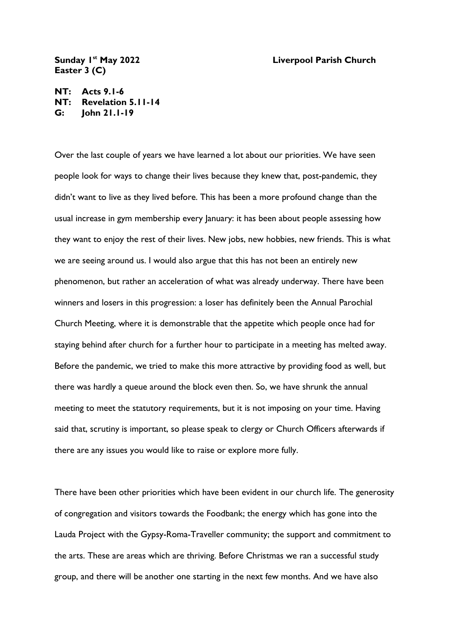## **st May 2022 Liverpool Parish Church**

## Sunday I<sup>st</sup> May 2022 **Easter 3 (C)**

**NT: Acts 9.1-6 NT: Revelation 5.11-14 G: John 21.1-19**

Over the last couple of years we have learned a lot about our priorities. We have seen people look for ways to change their lives because they knew that, post-pandemic, they didn't want to live as they lived before. This has been a more profound change than the usual increase in gym membership every January: it has been about people assessing how they want to enjoy the rest of their lives. New jobs, new hobbies, new friends. This is what we are seeing around us. I would also argue that this has not been an entirely new phenomenon, but rather an acceleration of what was already underway. There have been winners and losers in this progression: a loser has definitely been the Annual Parochial Church Meeting, where it is demonstrable that the appetite which people once had for staying behind after church for a further hour to participate in a meeting has melted away. Before the pandemic, we tried to make this more attractive by providing food as well, but there was hardly a queue around the block even then. So, we have shrunk the annual meeting to meet the statutory requirements, but it is not imposing on your time. Having said that, scrutiny is important, so please speak to clergy or Church Officers afterwards if there are any issues you would like to raise or explore more fully.

There have been other priorities which have been evident in our church life. The generosity of congregation and visitors towards the Foodbank; the energy which has gone into the Lauda Project with the Gypsy-Roma-Traveller community; the support and commitment to the arts. These are areas which are thriving. Before Christmas we ran a successful study group, and there will be another one starting in the next few months. And we have also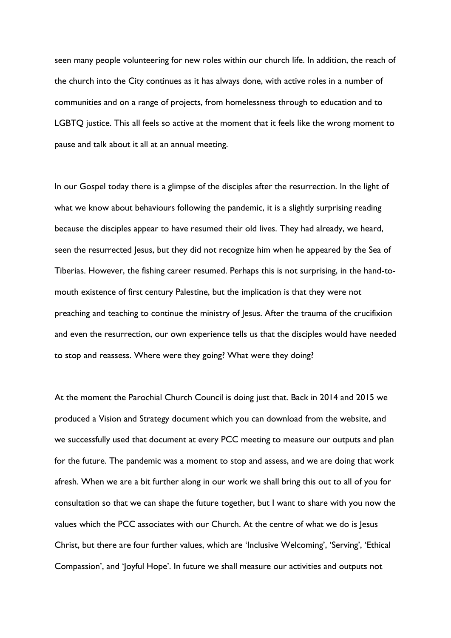seen many people volunteering for new roles within our church life. In addition, the reach of the church into the City continues as it has always done, with active roles in a number of communities and on a range of projects, from homelessness through to education and to LGBTQ justice. This all feels so active at the moment that it feels like the wrong moment to pause and talk about it all at an annual meeting.

In our Gospel today there is a glimpse of the disciples after the resurrection. In the light of what we know about behaviours following the pandemic, it is a slightly surprising reading because the disciples appear to have resumed their old lives. They had already, we heard, seen the resurrected Jesus, but they did not recognize him when he appeared by the Sea of Tiberias. However, the fishing career resumed. Perhaps this is not surprising, in the hand-tomouth existence of first century Palestine, but the implication is that they were not preaching and teaching to continue the ministry of Jesus. After the trauma of the crucifixion and even the resurrection, our own experience tells us that the disciples would have needed to stop and reassess. Where were they going? What were they doing?

At the moment the Parochial Church Council is doing just that. Back in 2014 and 2015 we produced a Vision and Strategy document which you can download from the website, and we successfully used that document at every PCC meeting to measure our outputs and plan for the future. The pandemic was a moment to stop and assess, and we are doing that work afresh. When we are a bit further along in our work we shall bring this out to all of you for consultation so that we can shape the future together, but I want to share with you now the values which the PCC associates with our Church. At the centre of what we do is Jesus Christ, but there are four further values, which are 'Inclusive Welcoming', 'Serving', 'Ethical Compassion', and 'Joyful Hope'. In future we shall measure our activities and outputs not